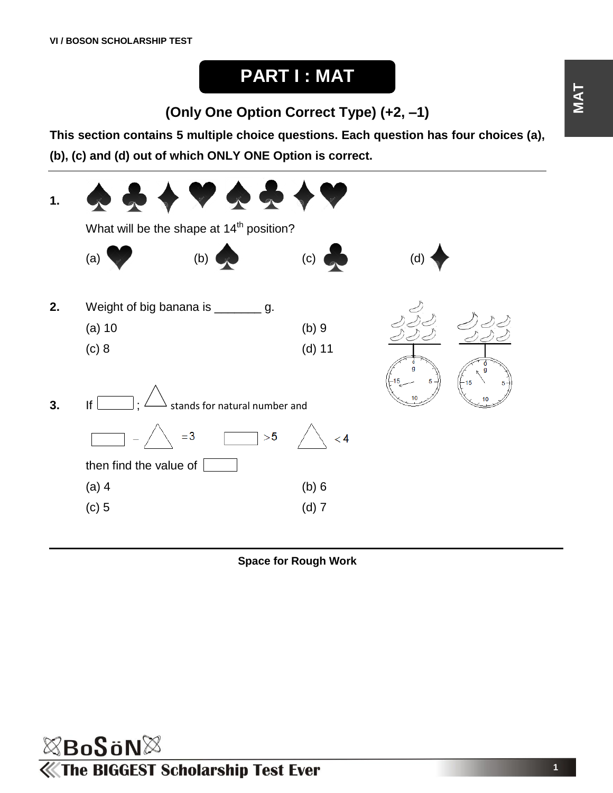# **PART I : MAT**

**(Only One Option Correct Type) (+2, –1)**

**This section contains 5 multiple choice questions. Each question has four choices (a),** 

**(b), (c) and (d) out of which ONLY ONE Option is correct.**



**Space for Rough Work**

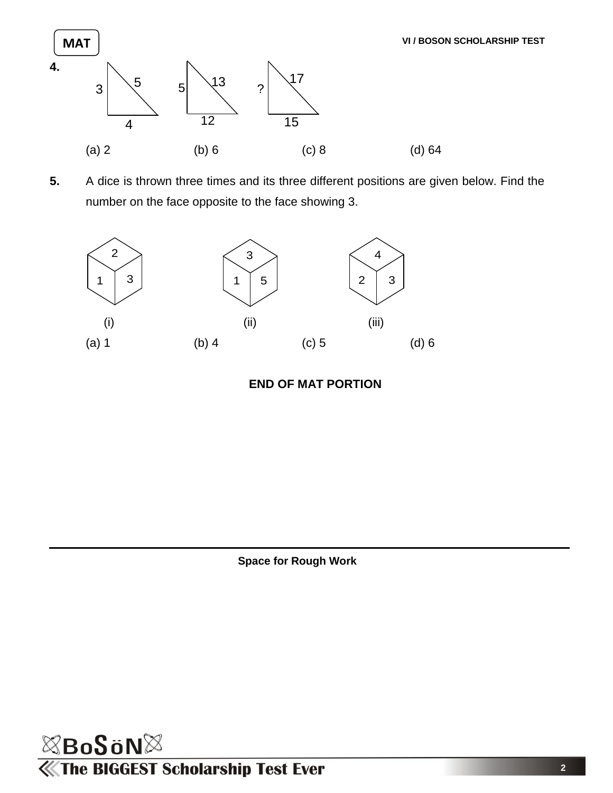

**5.** A dice is thrown three times and its three different positions are given below. Find the number on the face opposite to the face showing 3.



### **END OF MAT PORTION**



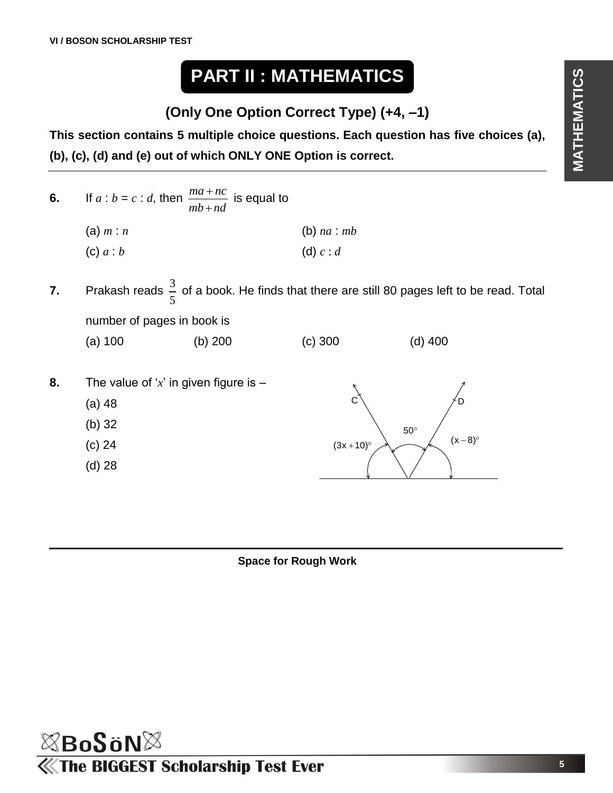# **PART II : MATHEMATICS**

**(Only One Option Correct Type) (+4, –1)**

**This section contains 5 multiple choice questions. Each question has five choices (a), (b), (c), (d) and (e) out of which ONLY ONE Option is correct.**

- **6.** If  $a : b = c : d$ , then  $\frac{ma + nc}{a}$ *mb nd*  $\ddot{}$  $\ddot{}$ is equal to (a) *m* : *n* (b) *na* : *mb* (c)  $a : b$  (d)  $c : d$
- **7.** Prakash reads  $\frac{3}{5}$ 5 of a book. He finds that there are still 80 pages left to be read. Total number of pages in book is
	- (a) 100 (b) 200 (c) 300 (d) 400
- **8.** The value of '*x*' in given figure is (a) 48 (b) 32 (c) 24 (d) 28  $(3x + 10)°$ 50  $(x-8)^c$  $C \setminus \qquad \qquad \neq D$

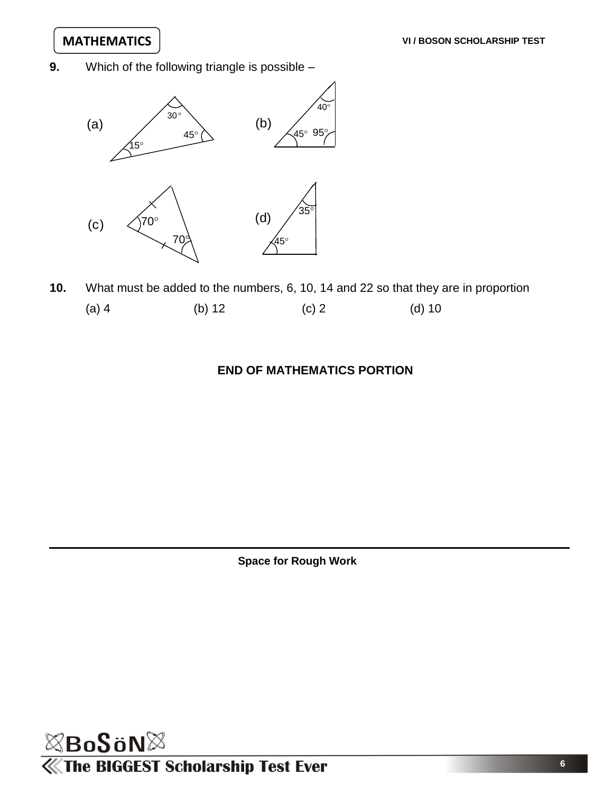**9.** Which of the following triangle is possible –



**10.** What must be added to the numbers, 6, 10, 14 and 22 so that they are in proportion (a) 4 (b) 12 (c) 2 (d) 10

#### **END OF MATHEMATICS PORTION**

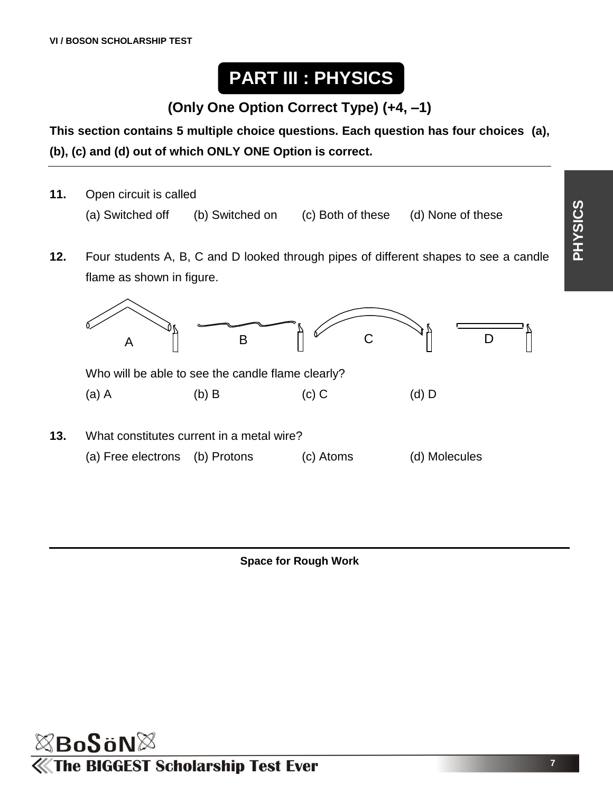# **PART III : PHYSICS**

# **(Only One Option Correct Type) (+4, –1)**

**This section contains 5 multiple choice questions. Each question has four choices (a), (b), (c) and (d) out of which ONLY ONE Option is correct.**

- **11.** Open circuit is called (a) Switched off (b) Switched on (c) Both of these (d) None of these
- **12.** Four students A, B, C and D looked through pipes of different shapes to see a candle flame as shown in figure.



**Space for Rough Work**



**PHYSICS**

**7**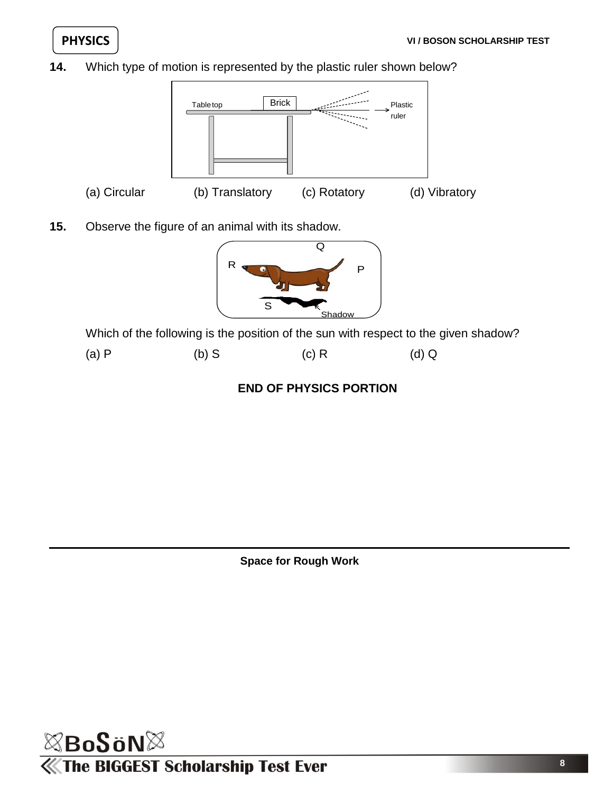**14.** Which type of motion is represented by the plastic ruler shown below?



**15.** Observe the figure of an animal with its shadow.



Which of the following is the position of the sun with respect to the given shadow?



## **END OF PHYSICS PORTION**

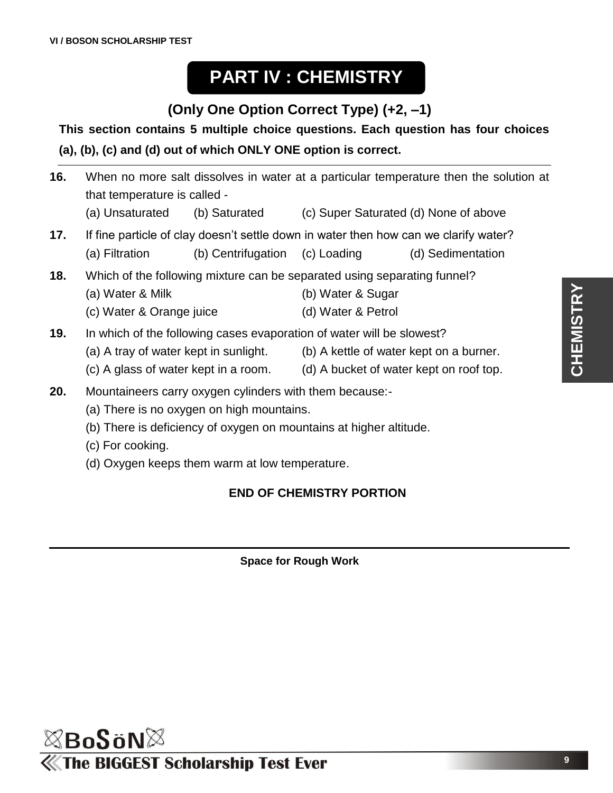# **PART IV : CHEMISTRY**

# **(Only One Option Correct Type) (+2, –1)**

## **This section contains 5 multiple choice questions. Each question has four choices (a), (b), (c) and (d) out of which ONLY ONE option is correct.**

- **16.** When no more salt dissolves in water at a particular temperature then the solution at that temperature is called - (a) Unsaturated (b) Saturated (c) Super Saturated (d) None of above **17.** If fine particle of clay doesn't settle down in water then how can we clarify water?
- (a) Filtration (b) Centrifugation (c) Loading (d) Sedimentation
- **18.** Which of the following mixture can be separated using separating funnel?
	- (a) Water & Milk (b) Water & Sugar
	- (c) Water & Orange juice (d) Water & Petrol
- **19.** In which of the following cases evaporation of water will be slowest?
	- (a) A tray of water kept in sunlight. (b) A kettle of water kept on a burner.
- - (c) A glass of water kept in a room. (d) A bucket of water kept on roof top.
- **20.** Mountaineers carry oxygen cylinders with them because:-
	- (a) There is no oxygen on high mountains.
	- (b) There is deficiency of oxygen on mountains at higher altitude.
	- (c) For cooking.
	- (d) Oxygen keeps them warm at low temperature.

## **END OF CHEMISTRY PORTION**

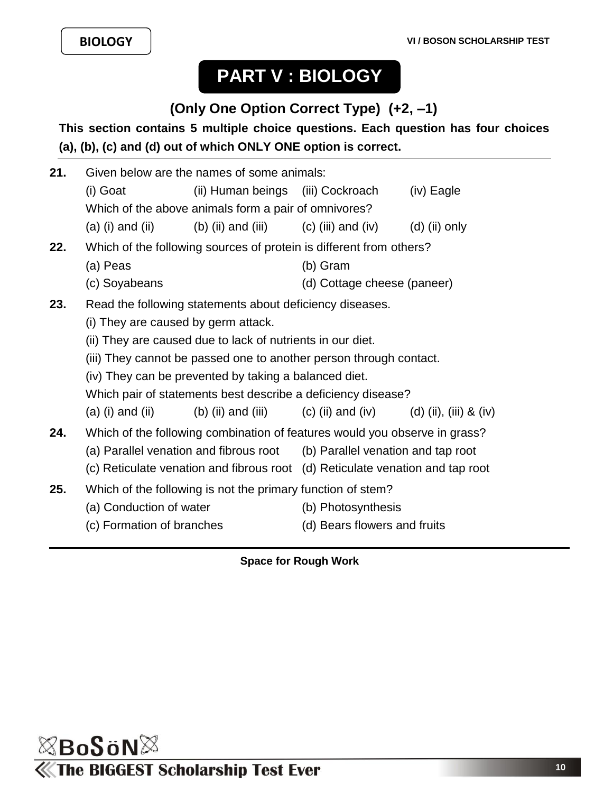# **PART V : BIOLOGY**

# **(Only One Option Correct Type) (+2, –1)**

## **This section contains 5 multiple choice questions. Each question has four choices (a), (b), (c) and (d) out of which ONLY ONE option is correct.**

| 21.                                                  | Given below are the names of some animals:                                                                                                                                                  |                                                            |                                          |                 |
|------------------------------------------------------|---------------------------------------------------------------------------------------------------------------------------------------------------------------------------------------------|------------------------------------------------------------|------------------------------------------|-----------------|
|                                                      | (i) Goat                                                                                                                                                                                    | (ii) Human beings (iii) Cockroach                          |                                          | (iv) Eagle      |
| Which of the above animals form a pair of omnivores? |                                                                                                                                                                                             |                                                            |                                          |                 |
|                                                      | $(a)$ (i) and (ii)                                                                                                                                                                          |                                                            | (b) (ii) and (iii) $(c)$ (iii) and (iv)  | $(d)$ (ii) only |
| 22.                                                  | Which of the following sources of protein is different from others?                                                                                                                         |                                                            |                                          |                 |
|                                                      | (a) Peas                                                                                                                                                                                    |                                                            | (b) Gram                                 |                 |
|                                                      | (c) Soyabeans                                                                                                                                                                               |                                                            | (d) Cottage cheese (paneer)              |                 |
| 23.                                                  | Read the following statements about deficiency diseases.                                                                                                                                    |                                                            |                                          |                 |
|                                                      | (i) They are caused by germ attack.                                                                                                                                                         |                                                            |                                          |                 |
|                                                      |                                                                                                                                                                                             | (ii) They are caused due to lack of nutrients in our diet. |                                          |                 |
|                                                      | (iii) They cannot be passed one to another person through contact.<br>(iv) They can be prevented by taking a balanced diet.<br>Which pair of statements best describe a deficiency disease? |                                                            |                                          |                 |
|                                                      |                                                                                                                                                                                             |                                                            |                                          |                 |
|                                                      |                                                                                                                                                                                             |                                                            |                                          |                 |
|                                                      | $(a)$ (i) and (ii)                                                                                                                                                                          | (b) (ii) and (iii)                                         | (c) (ii) and (iv) (d) (ii), (iii) & (iv) |                 |
| 24.                                                  | Which of the following combination of features would you observe in grass?                                                                                                                  |                                                            |                                          |                 |
|                                                      | (a) Parallel venation and fibrous root (b) Parallel venation and tap root                                                                                                                   |                                                            |                                          |                 |
|                                                      | (c) Reticulate venation and fibrous root (d) Reticulate venation and tap root                                                                                                               |                                                            |                                          |                 |
| 25.                                                  | Which of the following is not the primary function of stem?                                                                                                                                 |                                                            |                                          |                 |
|                                                      | (a) Conduction of water                                                                                                                                                                     |                                                            | (b) Photosynthesis                       |                 |
|                                                      | (c) Formation of branches                                                                                                                                                                   |                                                            | (d) Bears flowers and fruits             |                 |
|                                                      |                                                                                                                                                                                             |                                                            |                                          |                 |